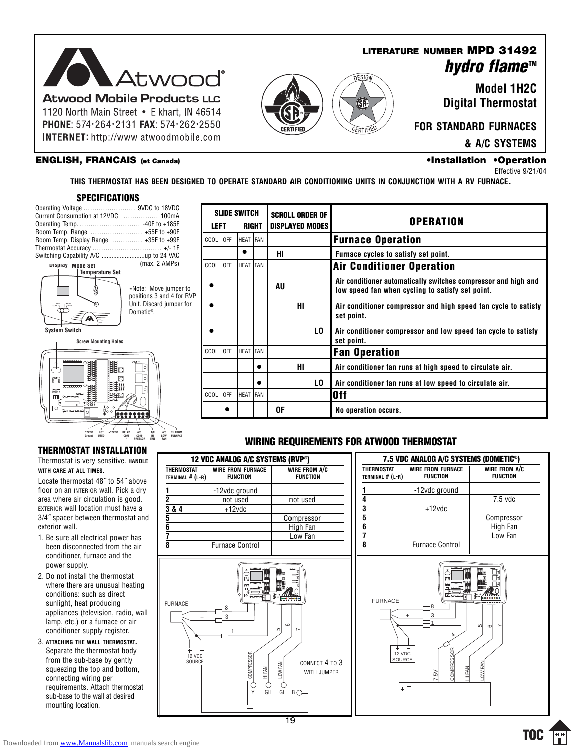

1120 North Main Street . Elkhart, IN 46514 PHONE: 574 · 264 · 2131 FAX: 574 · 262 · 2550 **INTERNET:** http://www.atwoodmobile.com

#### **ENGLISH, FRANCAIS (et Canada) •Installation •Operation**

### **LITERATURE NUMBER MPD 31492 hydro flame™**

**Model 1H2C Digital Thermostat**

**FOR STANDARD FURNACES**

**& A/C SYSTEMS**

## Effective 9/21/04

**THIS THERMOSTAT HAS BEEN DESIGNED TO OPERATE STANDARD AIR CONDITIONING UNITS IN CONJUNCTION WITH A RV FURNACE.**

### **SPECIFICATIONS**



**THERMOSTAT INSTALLATION** Thermostat is very sensitive. **HANDLE**

**\***

**PRESSOR**

**FAN**

Locate thermostat 48˝ to 54˝ above floor on an INTERIOR wall. Pick a dry area where air circulation is good. EXTERIOR wall location must have a 3/4˝ spacer between thermostat and

1. Be sure all electrical power has been disconnected from the air conditioner, furnace and the

2. Do not install the thermostat where there are unusual heating conditions: such as direct sunlight, heat producing appliances (television, radio, wall lamp, etc.) or a furnace or air conditioner supply register. 3. **ATTACHING THE WALL THERMOSTAT.** Separate the thermostat body from the sub-base by gently squeezing the top and bottom, connecting wiring per requirements. Attach thermostat sub-base to the wall at desired

**WITH CARE AT ALL TIMES**.

exterior wall.

power supply.

mounting location.

| <b>SLIDE SWITCH</b><br><b>LEFT</b><br>RIGHT |     |           |            | <b>SCROLL ORDER OF</b><br><b>DISPLAYED MODES</b> |    |     | <b>OPERATION</b>                                                                                                   |
|---------------------------------------------|-----|-----------|------------|--------------------------------------------------|----|-----|--------------------------------------------------------------------------------------------------------------------|
| COOL                                        | 0FF | HEAT FAN  |            |                                                  |    |     | <b>Furnace Operation</b>                                                                                           |
|                                             |     | $\bullet$ |            | HI                                               |    |     | Furnace cycles to satisfy set point.                                                                               |
| COOL                                        | 0FF | HEAT      | <b>FAN</b> |                                                  |    |     | <b>Air Conditioner Operation</b>                                                                                   |
|                                             |     |           |            | AU                                               |    |     | Air conditioner automatically switches compressor and high and<br>low speed fan when cycling to satisfy set point. |
|                                             |     |           |            |                                                  | HI |     | Air conditioner compressor and high speed fan cycle to satisfy<br>set point.                                       |
|                                             |     |           |            |                                                  |    | LO. | Air conditioner compressor and low speed fan cycle to satisfy<br>set point.                                        |
| COOL                                        | 0FF | HEAT FAN  |            |                                                  |    |     | <b>Fan Operation</b>                                                                                               |
|                                             |     |           |            |                                                  | HI |     | Air conditioner fan runs at high speed to circulate air.                                                           |
|                                             |     |           | ●          |                                                  |    | LO. | Air conditioner fan runs at low speed to circulate air.                                                            |
| COOL                                        | 0FF | HEAT FAN  |            |                                                  |    |     | 0ff                                                                                                                |
|                                             |     |           |            | 0F                                               |    |     | No operation occurs.                                                                                               |

G)

### **WIRING REQUIREMENTS FOR ATWOOD THERMOSTAT**

#### **12 VDC ANALOG A/C SYSTEMS (RVP®) THERMOSTAT WIRE FROM FURNACE WIRE FROM A/C TERMINAL # (L-R) FUNCTION FUNCTION 1** -12vdc ground **2 not used not used 3 & 4** +12vdc **5** Compressor **6** High Fan<br> **1** High Fan<br> **1** High Fan **7** Low Fan **8** Furnace Control



| THERMOSTAT<br>TERMINAL # (L-R) | <b>WIRE FROM FURNACE</b><br><b>FUNCTION</b> | WIRE FROM A/C<br><b>FUNCTION</b> |  |
|--------------------------------|---------------------------------------------|----------------------------------|--|
|                                | -12vdc ground                               |                                  |  |
|                                |                                             | $7.5$ vdc                        |  |
| $\overline{\mathbf{3}}$        | $+12$ vdc                                   |                                  |  |
| 5                              |                                             | Compressor                       |  |
| 6                              |                                             | High Fan                         |  |
|                                |                                             | Low Fan                          |  |
| 8                              | <b>Furnace Control</b>                      |                                  |  |



### Downloaded from [www.Manualslib.com](http://www.manualslib.com/) manuals search engine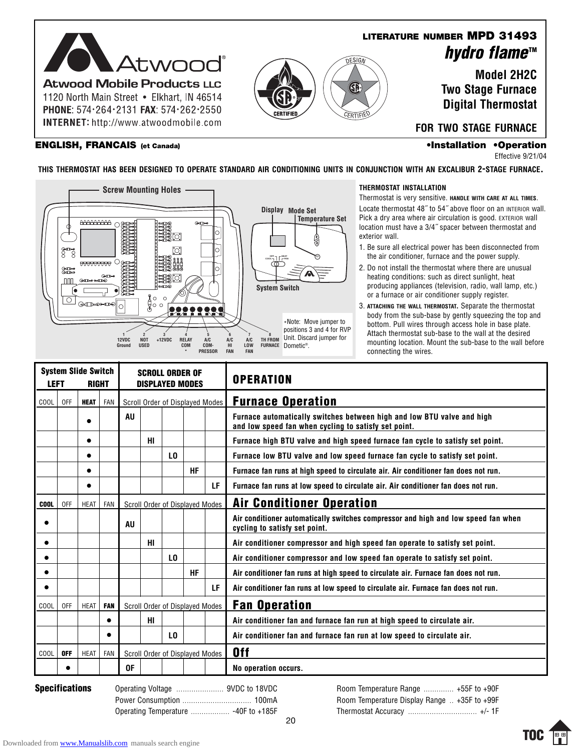

**INTERNET:** http://www.atwoodmobile.com

GF

### **LITERATURE NUMBER MPD 31493 hydro flame™**

**Model 2H2C Two Stage Furnace Digital Thermostat**

### **ENGLISH, FRANCAIS (et Canada) •Installation •Operation**

**FOR TWO STAGE FURNACE**

Effective 9/21/04

**THIS THERMOSTAT HAS BEEN DESIGNED TO OPERATE STANDARD AIR CONDITIONING UNITS IN CONJUNCTION WITH AN EXCALIBUR 2-STAGE FURNACE.**



#### **THERMOSTAT INSTALLATION**

Thermostat is very sensitive. **HANDLE WITH CARE AT ALL TIMES**. Locate thermostat 48" to 54" above floor on an INTERIOR wall. Pick a dry area where air circulation is good. EXTERIOR wall location must have a 3/4˝ spacer between thermostat and exterior wall.

- 1. Be sure all electrical power has been disconnected from the air conditioner, furnace and the power supply.
- 2. Do not install the thermostat where there are unusual heating conditions: such as direct sunlight, heat producing appliances (television, radio, wall lamp, etc.) or a furnace or air conditioner supply register.
- 3. **ATTACHING THE WALL THERMOSTAT.** Separate the thermostat body from the sub-base by gently squeezing the top and bottom. Pull wires through access hole in base plate. Attach thermostat sub-base to the wall at the desired mounting location. Mount the sub-base to the wall before connecting the wires.

| <b>LEFT</b> |            | <b>System Slide Switch</b><br><b>RIGHT</b> |            | <b>SCROLL ORDER OF</b><br><b>DISPLAYED MODES</b> |    |     |           |    | <b>OPERATION</b>                                                                                                               |
|-------------|------------|--------------------------------------------|------------|--------------------------------------------------|----|-----|-----------|----|--------------------------------------------------------------------------------------------------------------------------------|
| COOL        | <b>OFF</b> | <b>HEAT</b>                                | <b>FAN</b> | Scroll Order of Displayed Modes                  |    |     |           |    | <b>Furnace Operation</b>                                                                                                       |
|             |            |                                            |            | AU                                               |    |     |           |    | Furnace automatically switches between high and low BTU valve and high<br>and low speed fan when cycling to satisfy set point. |
|             |            |                                            |            |                                                  | HI |     |           |    | Furnace high BTU valve and high speed furnace fan cycle to satisfy set point.                                                  |
|             |            |                                            |            |                                                  |    | LO. |           |    | Furnace low BTU valve and low speed furnace fan cycle to satisfy set point.                                                    |
|             |            |                                            |            |                                                  |    |     | <b>HF</b> |    | Furnace fan runs at high speed to circulate air. Air conditioner fan does not run.                                             |
|             |            |                                            |            |                                                  |    |     |           | LF | Furnace fan runs at low speed to circulate air. Air conditioner fan does not run.                                              |
| <b>COOL</b> | 0FF        | <b>HEAT</b>                                | FAN        | Scroll Order of Displayed Modes                  |    |     |           |    | <b>Air Conditioner Operation</b>                                                                                               |
|             |            |                                            |            | AU                                               |    |     |           |    | Air conditioner automatically switches compressor and high and low speed fan when<br>cycling to satisfy set point.             |
|             |            |                                            |            |                                                  | HI |     |           |    | Air conditioner compressor and high speed fan operate to satisfy set point.                                                    |
|             |            |                                            |            |                                                  |    | LO. |           |    | Air conditioner compressor and low speed fan operate to satisfy set point.                                                     |
|             |            |                                            |            |                                                  |    |     | <b>HF</b> |    | Air conditioner fan runs at high speed to circulate air. Furnace fan does not run.                                             |
|             |            |                                            |            |                                                  |    |     |           | LF | Air conditioner fan runs at low speed to circulate air. Furnace fan does not run.                                              |
| COOL        | 0FF        | <b>HEAT</b>                                | <b>FAN</b> | Scroll Order of Displayed Modes                  |    |     |           |    | <b>Fan Operation</b>                                                                                                           |
|             |            |                                            |            |                                                  | HI |     |           |    | Air conditioner fan and furnace fan run at high speed to circulate air.                                                        |
|             |            |                                            |            |                                                  |    | LO. |           |    | Air conditioner fan and furnace fan run at low speed to circulate air.                                                         |
| COOL        | <b>OFF</b> | <b>HEAT</b>                                | FAN        | Scroll Order of Displayed Modes                  |    |     |           |    | 0ff                                                                                                                            |
|             |            |                                            |            | 0F                                               |    |     |           |    | No operation occurs.                                                                                                           |

**Specifications** Operating Voltage ....................... 9VDC to 18VDC Power Consumption ................................ 100mA Operating Temperature .................. -40F to +185F

Room Temperature Range .............. +55F to +90F Room Temperature Display Range .. +35F to +99F Thermostat Accuracy ................................ +/- 1F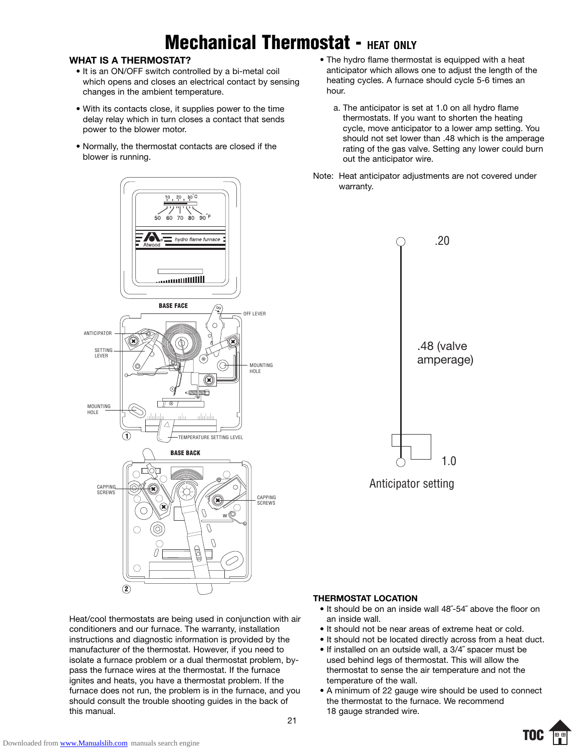## **Mechanical Thermostat - HEAT ONLY**

### **WHAT IS A THERMOSTAT?**

- It is an ON/OFF switch controlled by a bi-metal coil which opens and closes an electrical contact by sensing changes in the ambient temperature.
- With its contacts close, it supplies power to the time delay relay which in turn closes a contact that sends power to the blower motor.
- Normally, the thermostat contacts are closed if the blower is running.
- The hydro flame thermostat is equipped with a heat anticipator which allows one to adjust the length of the heating cycles. A furnace should cycle 5-6 times an hour.
	- a. The anticipator is set at 1.0 on all hydro flame thermostats. If you want to shorten the heating cycle, move anticipator to a lower amp setting. You should not set lower than .48 which is the amperage rating of the gas valve. Setting any lower could burn out the anticipator wire.
- Note: Heat anticipator adjustments are not covered under warranty.



Heat/cool thermostats are being used in conjunction with air conditioners and our furnace. The warranty, installation instructions and diagnostic information is provided by the manufacturer of the thermostat. However, if you need to isolate a furnace problem or a dual thermostat problem, bypass the furnace wires at the thermostat. If the furnace ignites and heats, you have a thermostat problem. If the furnace does not run, the problem is in the furnace, and you should consult the trouble shooting guides in the back of this manual.



### **THERMOSTAT LOCATION**

- It should be on an inside wall 48˝-54˝ above the floor on an inside wall.
- It should not be near areas of extreme heat or cold.
- It should not be located directly across from a heat duct.
- If installed on an outside wall, a 3/4˝ spacer must be used behind legs of thermostat. This will allow the thermostat to sense the air temperature and not the temperature of the wall.
- A minimum of 22 gauge wire should be used to connect the thermostat to the furnace. We recommend 18 gauge stranded wire.